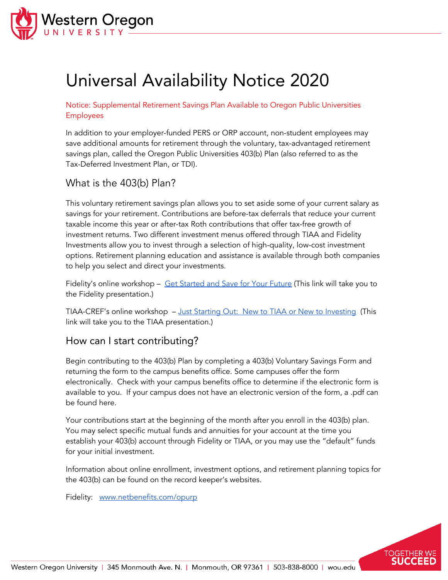

# Universal Availability Notice 2020

Notice: Supplemental Retirement Savings Plan Available to Oregon Public Universities Employees

In addition to your employer-funded PERS or ORP account, non-student employees may save additional amounts for retirement through the voluntary, tax-advantaged retirement savings plan, called the Oregon Public Universities 403(b) Plan (also referred to as the Tax-Deferred Investment Plan, or TDI).

# What is the 403(b) Plan?

This voluntary retirement savings plan allows you to set aside some of your current salary as savings for your retirement. Contributions are before-tax deferrals that reduce your current taxable income this year or after-tax Roth contributions that offer tax-free growth of investment returns. Two different investment menus offered through TIAA and Fidelity Investments allow you to invest through a selection of high-quality, low-cost investment options. Retirement planning education and assistance is available through both companies to help you select and direct your investments.

Fidelity's online workshop - Get [Started](https://www.brainshark.com/fidelityemg/getstarted) and Save for Your Future (This link will take you to the Fidelity presentation.)

TIAA-CREF's online workshop - Just Starting Out: New to TIAA or New to [Investing](https://www.brainshark.com/tiaa-cref_direct/vu?pi=zGLzYf1HOz3NpIz0) (This link will take you to the TIAA presentation.)

## How can I start contributing?

Begin contributing to the 403(b) Plan by completing a 403(b) Voluntary Savings Form and returning the form to the campus benefits office. Some campuses offer the form electronically. Check with your campus benefits office to determine if the electronic form is available to you. If your campus does not have an electronic version of the form, a .pdf can be found [here.](https://www.opurp.org/plan-forms)

Your contributions start at the beginning of the month after you enroll in the 403(b) plan. You may select specific mutual funds and annuities for your account at the time you establish your 403(b) account through Fidelity or TIAA, or you may use the "default" funds for your initial investment.

Information about online enrollment, investment options, and retirement planning topics for the 403(b) can be found on the record keeper's websites.

TOGETHER

Fidelity: [www.netbenefits.com/opurp](http://www.netbenefits.com/opurp)